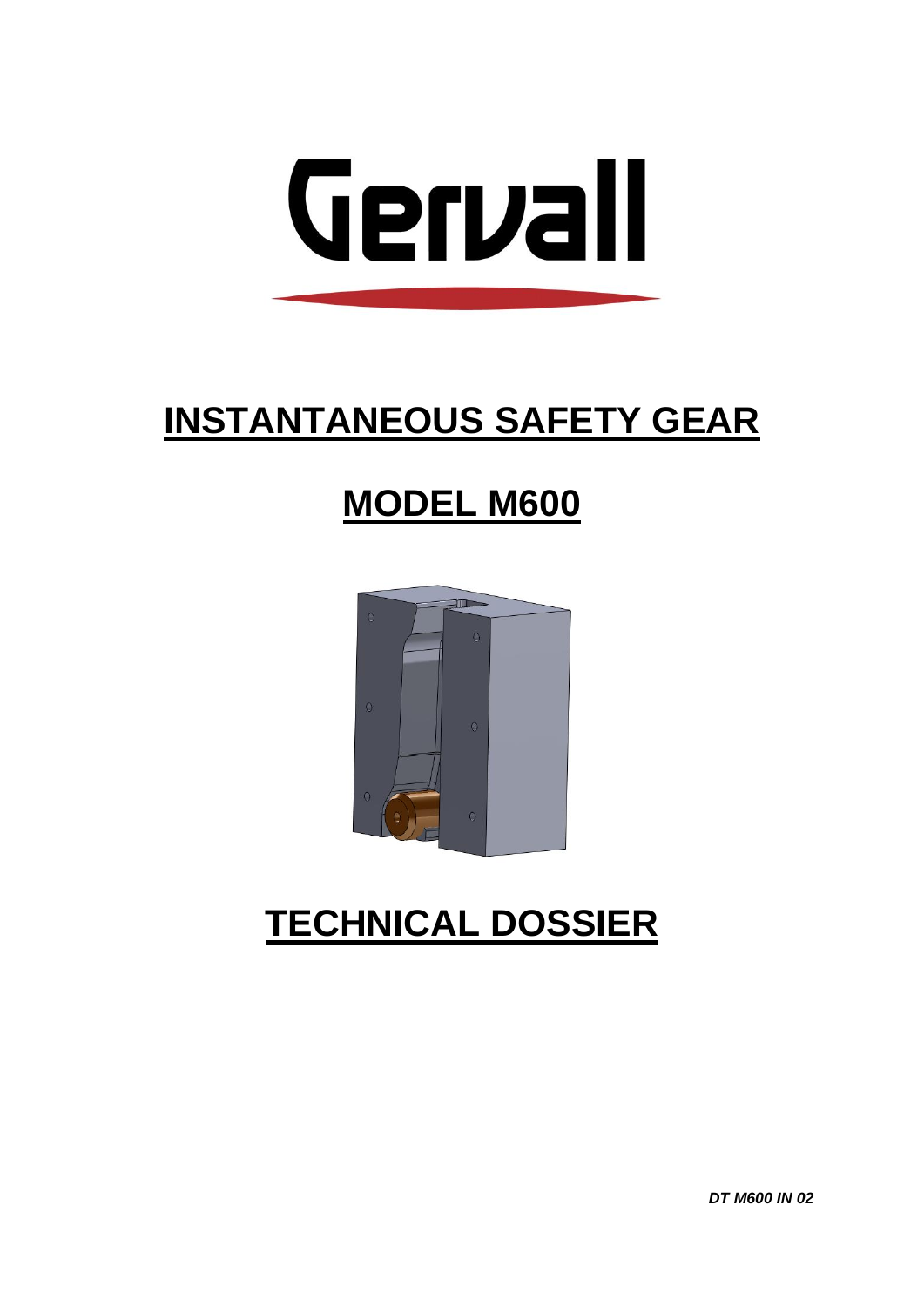

# **INSTANTANEOUS SAFETY GEAR**

### **MODEL M600**



## **TECHNICAL DOSSIER**

**DT M600 IN 02**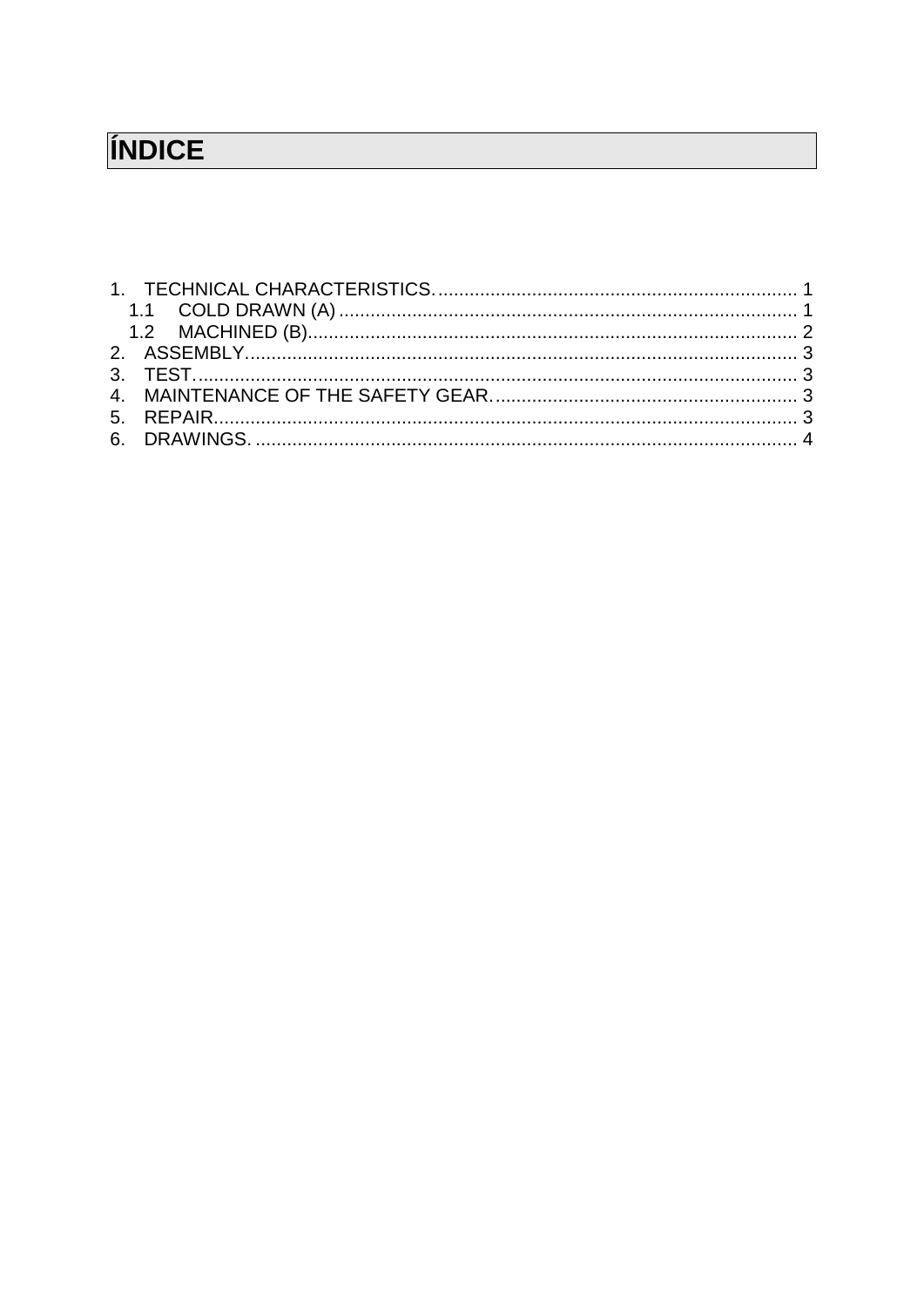### ÍNDICE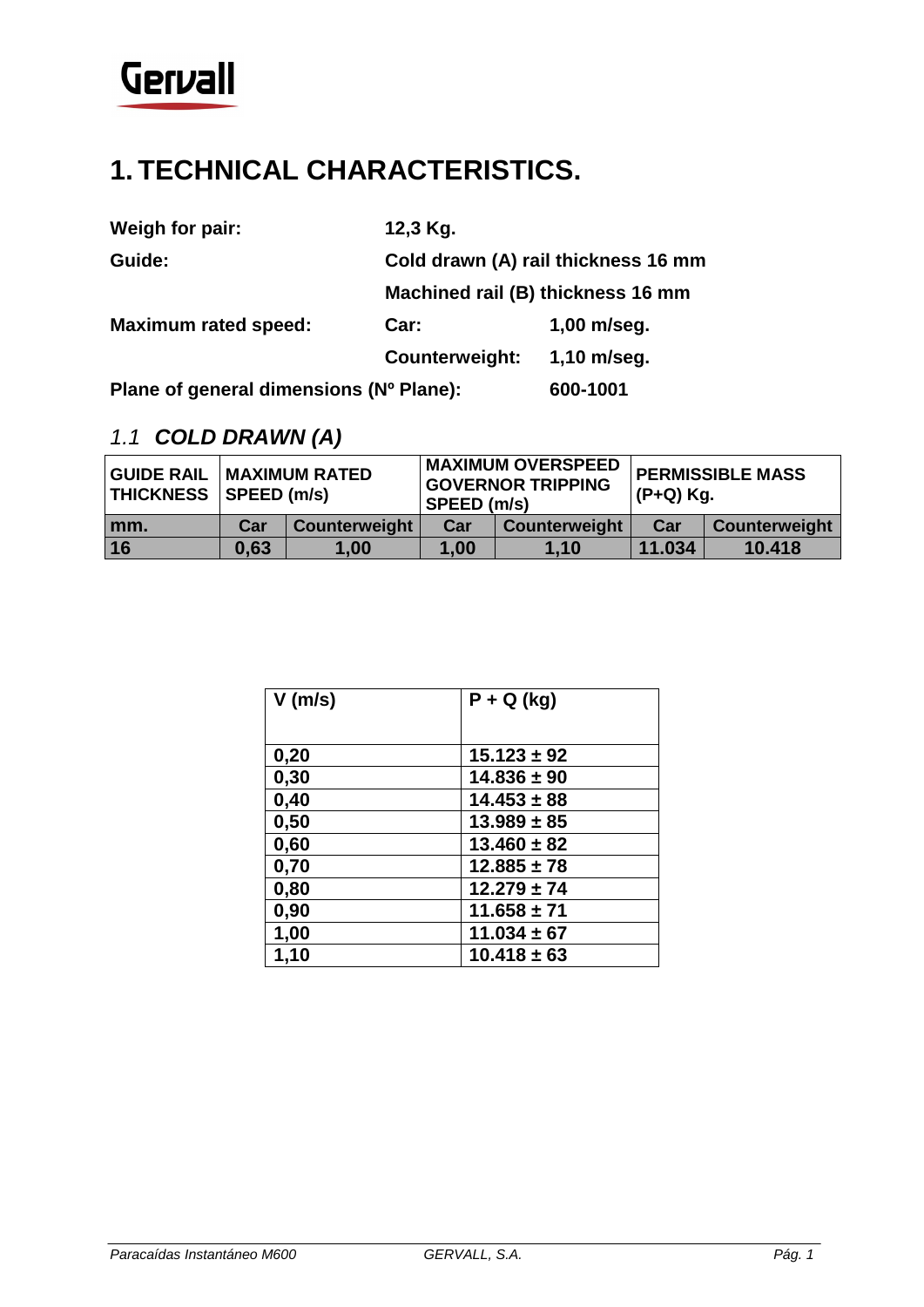

### <span id="page-3-0"></span>**1. TECHNICAL CHARACTERISTICS.**

| Weigh for pair:             | 12,3 Kg.                            |                                   |  |
|-----------------------------|-------------------------------------|-----------------------------------|--|
| Guide:                      | Cold drawn (A) rail thickness 16 mm |                                   |  |
|                             |                                     | Machined rail (B) thickness 16 mm |  |
| <b>Maximum rated speed:</b> | Car:                                | $1,00$ m/seg.                     |  |
|                             | Counterweight:                      | $1,10$ m/seg.                     |  |
|                             |                                     |                                   |  |

**Plane of general dimensions (Nº Plane): 600-1001**

#### <span id="page-3-1"></span>*1.1 COLD DRAWN (A)*

| <b>GUIDE RAIL</b> | <b>MAXIMUM RATED</b><br>THICKNESS   SPEED (m/s) |               | <b>MAXIMUM OVERSPEED</b><br><b>GOVERNOR TRIPPING</b><br>SPEED (m/s) |               | <b>I PERMISSIBLE MASS</b><br>(P+Q) Kg. |               |
|-------------------|-------------------------------------------------|---------------|---------------------------------------------------------------------|---------------|----------------------------------------|---------------|
| mm.               | Car                                             | Counterweight | Car                                                                 | Counterweight | Car                                    | Counterweight |
| 16                | 0.63                                            | 1,00          | 1,00                                                                | 1.10          | 11.034                                 | 10.418        |

| $V$ (m/s) | $P + Q$ (kg)    |
|-----------|-----------------|
|           |                 |
| 0,20      | $15.123 \pm 92$ |
| 0,30      | $14.836 \pm 90$ |
| 0,40      | $14.453 \pm 88$ |
| 0,50      | $13.989 \pm 85$ |
| 0,60      | $13.460 \pm 82$ |
| 0,70      | $12.885 \pm 78$ |
| 0,80      | $12.279 \pm 74$ |
| 0,90      | $11.658 \pm 71$ |
| 1,00      | $11.034 \pm 67$ |
| 1,10      | $10.418 \pm 63$ |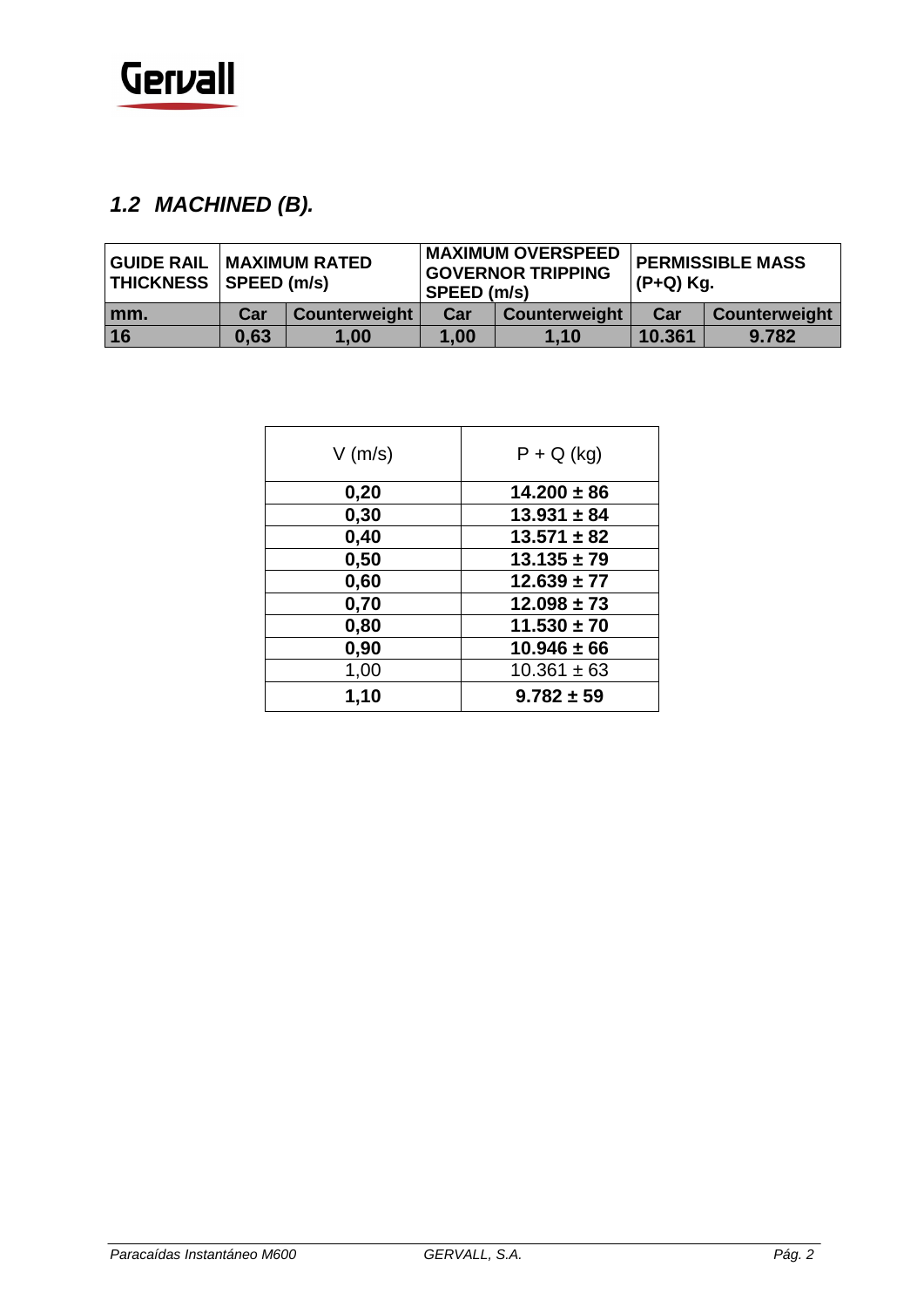

#### <span id="page-4-0"></span>*1.2 MACHINED (B).*

| <b>GUIDE RAIL</b> | <b>MAXIMUM RATED</b><br>THICKNESS SPEED (m/s) |               | <b>MAXIMUM OVERSPEED</b><br><b>GOVERNOR TRIPPING</b><br>SPEED (m/s) |               | <b>PERMISSIBLE MASS</b><br>(P+Q) Kg. |               |
|-------------------|-----------------------------------------------|---------------|---------------------------------------------------------------------|---------------|--------------------------------------|---------------|
| mm.               | Car                                           | Counterweight | Car                                                                 | Counterweight | Car                                  | Counterweight |
| 16                | 0,63                                          | 1.00          | 1,00                                                                | 1.10          | 10.361                               | 9.782         |

| $V$ (m/s) | $P + Q$ (kg)    |
|-----------|-----------------|
| 0,20      | $14.200 \pm 86$ |
| 0,30      | $13.931 \pm 84$ |
| 0,40      | $13.571 \pm 82$ |
| 0,50      | $13.135 \pm 79$ |
| 0,60      | $12.639 \pm 77$ |
| 0,70      | $12.098 \pm 73$ |
| 0,80      | $11.530 \pm 70$ |
| 0,90      | $10.946 \pm 66$ |
| 1,00      | $10.361 \pm 63$ |
| 1,10      | $9.782 \pm 59$  |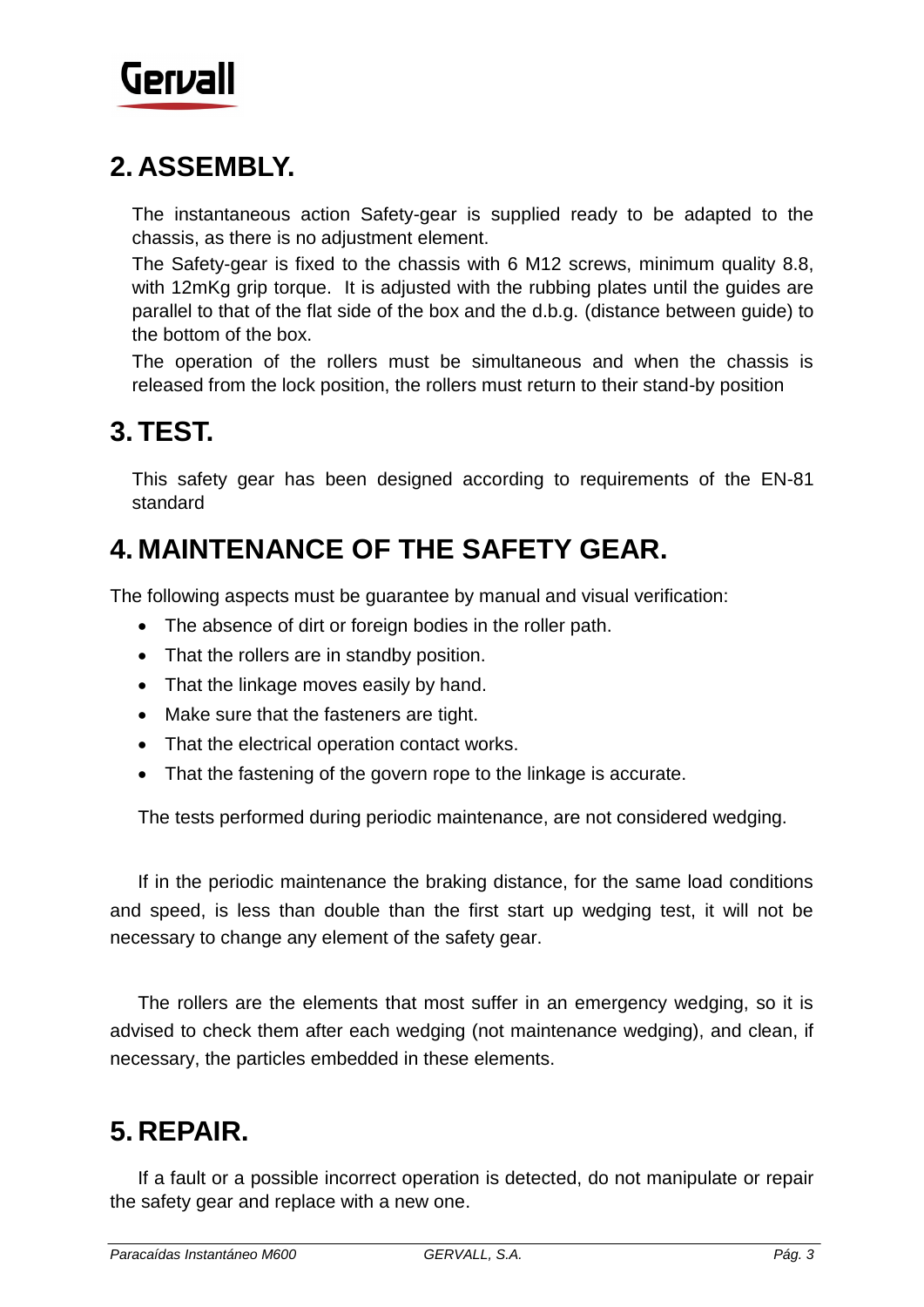

#### <span id="page-5-0"></span>**2. ASSEMBLY.**

The instantaneous action Safety-gear is supplied ready to be adapted to the chassis, as there is no adjustment element.

The Safety-gear is fixed to the chassis with 6 M12 screws, minimum quality 8.8, with 12mKg grip torque. It is adjusted with the rubbing plates until the guides are parallel to that of the flat side of the box and the d.b.g. (distance between guide) to the bottom of the box.

The operation of the rollers must be simultaneous and when the chassis is released from the lock position, the rollers must return to their stand-by position

#### <span id="page-5-1"></span>**3. TEST.**

This safety gear has been designed according to requirements of the EN-81 standard

#### <span id="page-5-2"></span>**4. MAINTENANCE OF THE SAFETY GEAR.**

The following aspects must be guarantee by manual and visual verification:

- The absence of dirt or foreign bodies in the roller path.
- That the rollers are in standby position.
- That the linkage moves easily by hand.
- Make sure that the fasteners are tight.
- That the electrical operation contact works.
- That the fastening of the govern rope to the linkage is accurate.

The tests performed during periodic maintenance, are not considered wedging.

If in the periodic maintenance the braking distance, for the same load conditions and speed, is less than double than the first start up wedging test, it will not be necessary to change any element of the safety gear.

The rollers are the elements that most suffer in an emergency wedging, so it is advised to check them after each wedging (not maintenance wedging), and clean, if necessary, the particles embedded in these elements.

#### <span id="page-5-3"></span>**5. REPAIR.**

If a fault or a possible incorrect operation is detected, do not manipulate or repair the safety gear and replace with a new one.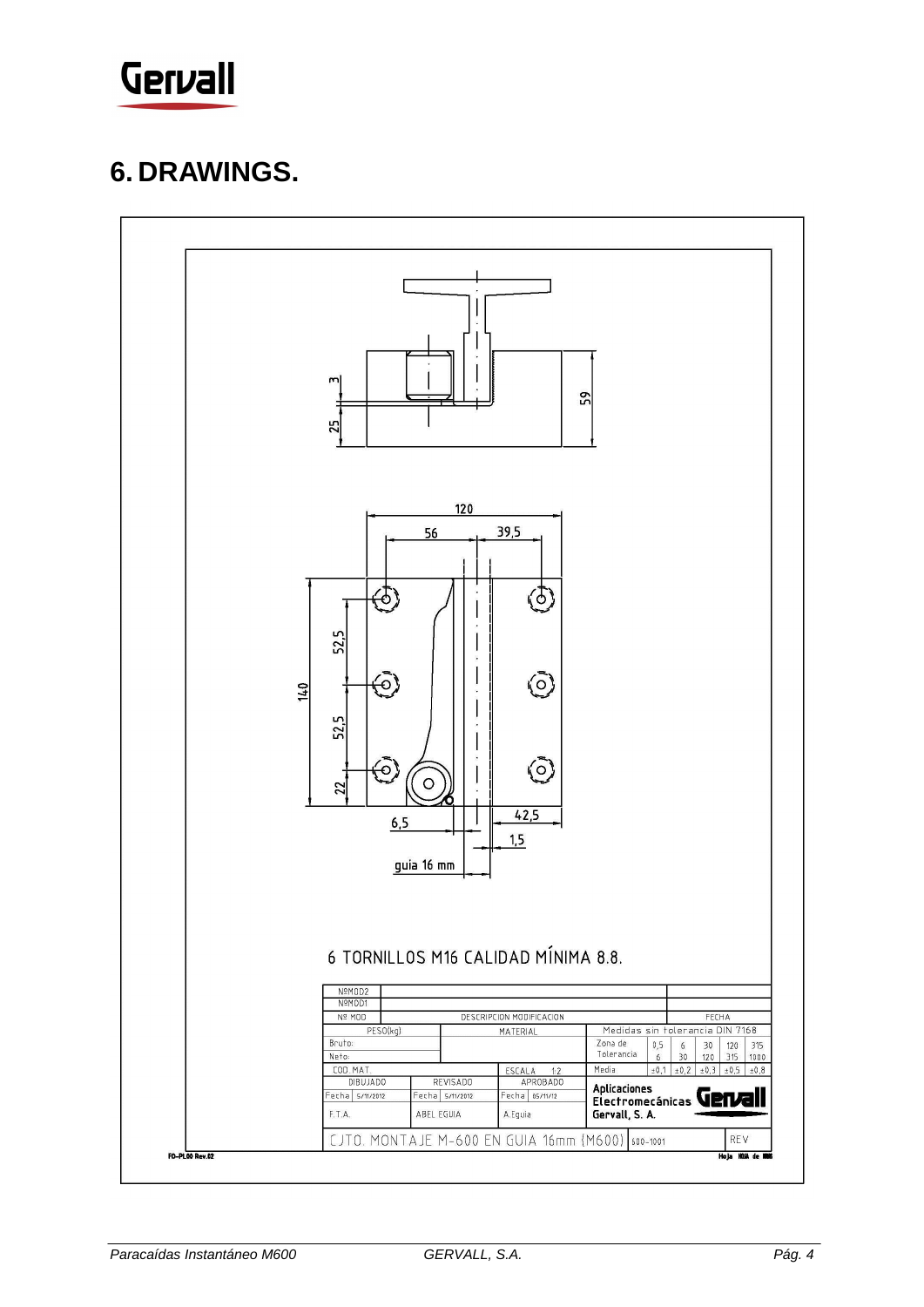

#### <span id="page-6-0"></span>**6. DRAWINGS.**